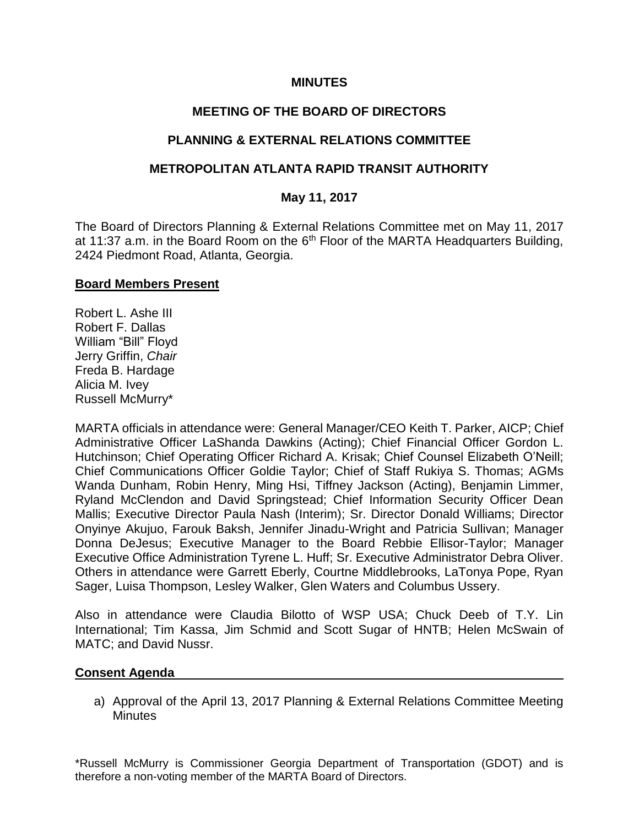## **MINUTES**

## **MEETING OF THE BOARD OF DIRECTORS**

## **PLANNING & EXTERNAL RELATIONS COMMITTEE**

## **METROPOLITAN ATLANTA RAPID TRANSIT AUTHORITY**

## **May 11, 2017**

The Board of Directors Planning & External Relations Committee met on May 11, 2017 at 11:37 a.m. in the Board Room on the  $6<sup>th</sup>$  Floor of the MARTA Headquarters Building, 2424 Piedmont Road, Atlanta, Georgia.

#### **Board Members Present**

Robert L. Ashe III Robert F. Dallas William "Bill" Floyd Jerry Griffin, *Chair* Freda B. Hardage Alicia M. Ivey Russell McMurry\*

MARTA officials in attendance were: General Manager/CEO Keith T. Parker, AICP; Chief Administrative Officer LaShanda Dawkins (Acting); Chief Financial Officer Gordon L. Hutchinson; Chief Operating Officer Richard A. Krisak; Chief Counsel Elizabeth O'Neill; Chief Communications Officer Goldie Taylor; Chief of Staff Rukiya S. Thomas; AGMs Wanda Dunham, Robin Henry, Ming Hsi, Tiffney Jackson (Acting), Benjamin Limmer, Ryland McClendon and David Springstead; Chief Information Security Officer Dean Mallis; Executive Director Paula Nash (Interim); Sr. Director Donald Williams; Director Onyinye Akujuo, Farouk Baksh, Jennifer Jinadu-Wright and Patricia Sullivan; Manager Donna DeJesus; Executive Manager to the Board Rebbie Ellisor-Taylor; Manager Executive Office Administration Tyrene L. Huff; Sr. Executive Administrator Debra Oliver. Others in attendance were Garrett Eberly, Courtne Middlebrooks, LaTonya Pope, Ryan Sager, Luisa Thompson, Lesley Walker, Glen Waters and Columbus Ussery.

Also in attendance were Claudia Bilotto of WSP USA; Chuck Deeb of T.Y. Lin International; Tim Kassa, Jim Schmid and Scott Sugar of HNTB; Helen McSwain of MATC; and David Nussr.

## **Consent Agenda**

a) Approval of the April 13, 2017 Planning & External Relations Committee Meeting **Minutes** 

\*Russell McMurry is Commissioner Georgia Department of Transportation (GDOT) and is therefore a non-voting member of the MARTA Board of Directors.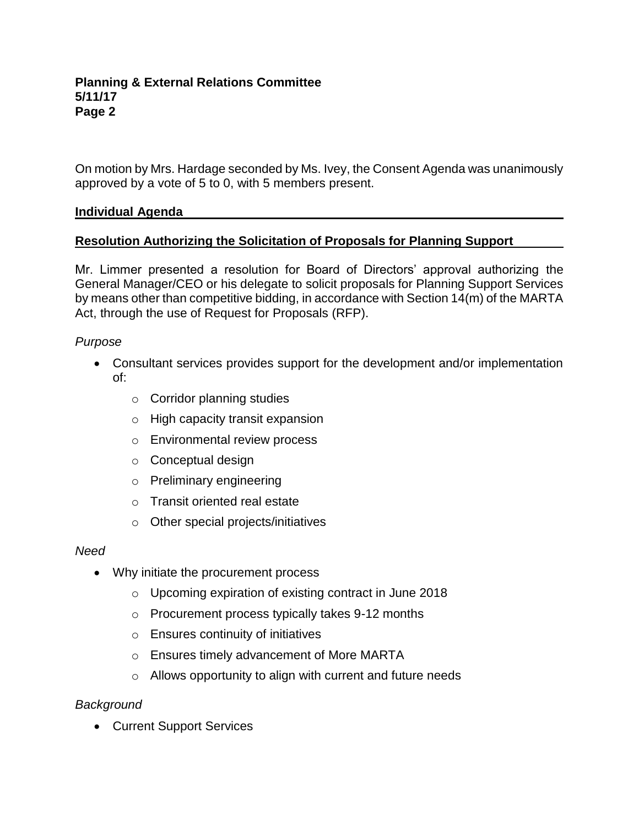On motion by Mrs. Hardage seconded by Ms. Ivey, the Consent Agenda was unanimously approved by a vote of 5 to 0, with 5 members present.

## **Individual Agenda**

## **Resolution Authorizing the Solicitation of Proposals for Planning Support**

Mr. Limmer presented a resolution for Board of Directors' approval authorizing the General Manager/CEO or his delegate to solicit proposals for Planning Support Services by means other than competitive bidding, in accordance with Section 14(m) of the MARTA Act, through the use of Request for Proposals (RFP).

## *Purpose*

- Consultant services provides support for the development and/or implementation of:
	- o Corridor planning studies
	- o High capacity transit expansion
	- o Environmental review process
	- o Conceptual design
	- o Preliminary engineering
	- o Transit oriented real estate
	- o Other special projects/initiatives

## *Need*

- Why initiate the procurement process
	- o Upcoming expiration of existing contract in June 2018
	- o Procurement process typically takes 9-12 months
	- o Ensures continuity of initiatives
	- o Ensures timely advancement of More MARTA
	- o Allows opportunity to align with current and future needs

# *Background*

• Current Support Services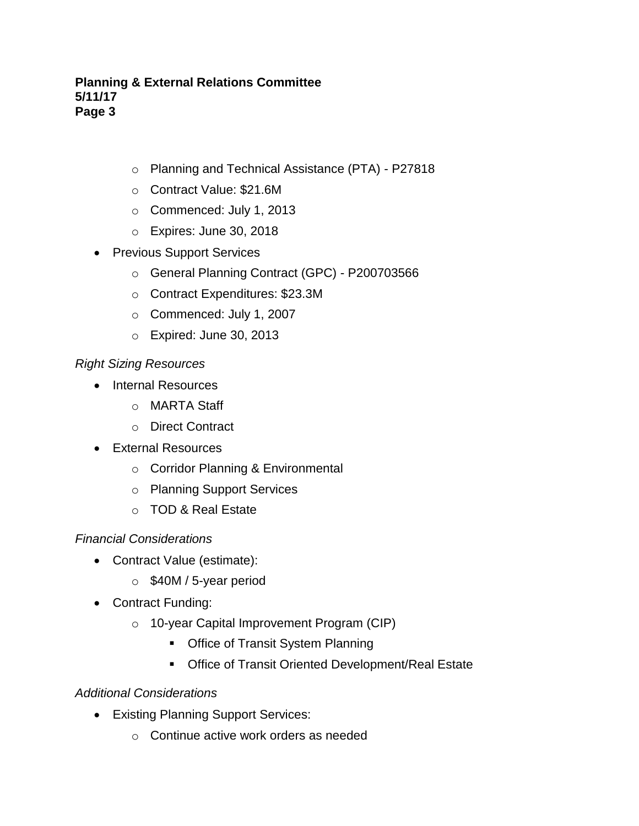- o Planning and Technical Assistance (PTA) P27818
- o Contract Value: \$21.6M
- o Commenced: July 1, 2013
- o Expires: June 30, 2018
- Previous Support Services
	- o General Planning Contract (GPC) P200703566
	- o Contract Expenditures: \$23.3M
	- o Commenced: July 1, 2007
	- o Expired: June 30, 2013

# *Right Sizing Resources*

- Internal Resources
	- o MARTA Staff
	- o Direct Contract
- External Resources
	- o Corridor Planning & Environmental
	- o Planning Support Services
	- o TOD & Real Estate

# *Financial Considerations*

- Contract Value (estimate):
	- o \$40M / 5-year period
- Contract Funding:
	- o 10-year Capital Improvement Program (CIP)
		- **Office of Transit System Planning**
		- Office of Transit Oriented Development/Real Estate

# *Additional Considerations*

- Existing Planning Support Services:
	- o Continue active work orders as needed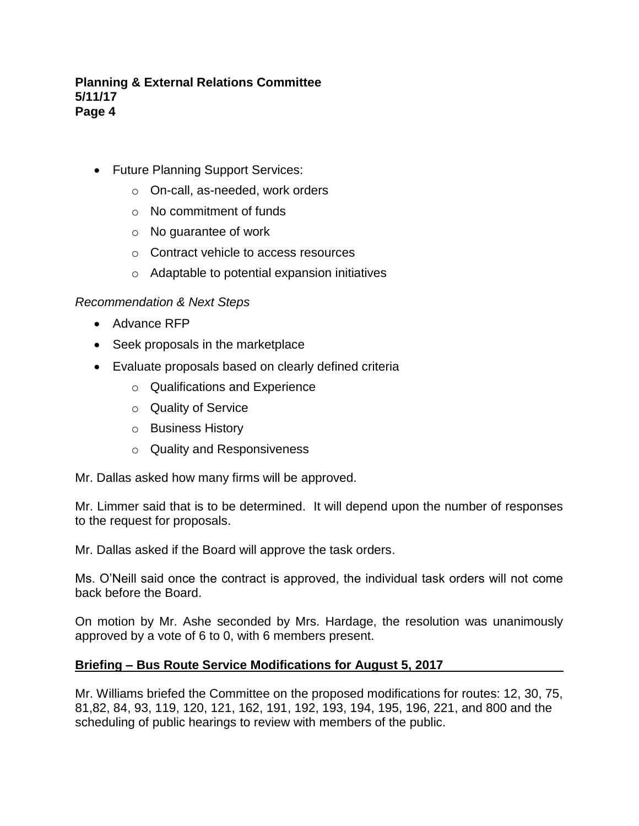- Future Planning Support Services:
	- o On-call, as-needed, work orders
	- o No commitment of funds
	- o No guarantee of work
	- o Contract vehicle to access resources
	- o Adaptable to potential expansion initiatives

#### *Recommendation & Next Steps*

- Advance RFP
- Seek proposals in the marketplace
- Evaluate proposals based on clearly defined criteria
	- o Qualifications and Experience
	- o Quality of Service
	- o Business History
	- o Quality and Responsiveness

Mr. Dallas asked how many firms will be approved.

Mr. Limmer said that is to be determined. It will depend upon the number of responses to the request for proposals.

Mr. Dallas asked if the Board will approve the task orders.

Ms. O'Neill said once the contract is approved, the individual task orders will not come back before the Board.

On motion by Mr. Ashe seconded by Mrs. Hardage, the resolution was unanimously approved by a vote of 6 to 0, with 6 members present.

#### **Briefing – Bus Route Service Modifications for August 5, 2017**

Mr. Williams briefed the Committee on the proposed modifications for routes: 12, 30, 75, 81,82, 84, 93, 119, 120, 121, 162, 191, 192, 193, 194, 195, 196, 221, and 800 and the scheduling of public hearings to review with members of the public.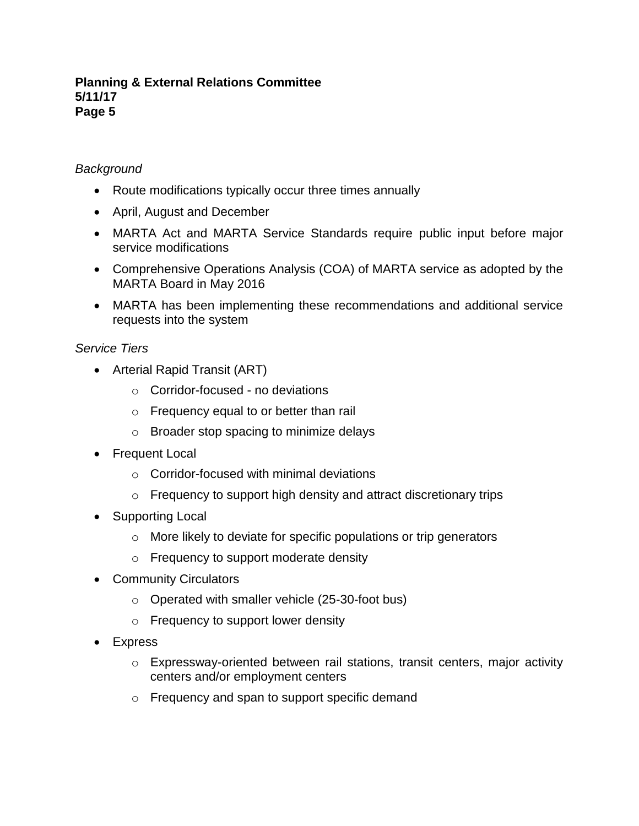## *Background*

- Route modifications typically occur three times annually
- April, August and December
- MARTA Act and MARTA Service Standards require public input before major service modifications
- Comprehensive Operations Analysis (COA) of MARTA service as adopted by the MARTA Board in May 2016
- MARTA has been implementing these recommendations and additional service requests into the system

## *Service Tiers*

- Arterial Rapid Transit (ART)
	- o Corridor-focused no deviations
	- o Frequency equal to or better than rail
	- o Broader stop spacing to minimize delays
- Frequent Local
	- o Corridor-focused with minimal deviations
	- o Frequency to support high density and attract discretionary trips
- Supporting Local
	- o More likely to deviate for specific populations or trip generators
	- o Frequency to support moderate density
- Community Circulators
	- o Operated with smaller vehicle (25-30-foot bus)
	- o Frequency to support lower density
- Express
	- o Expressway-oriented between rail stations, transit centers, major activity centers and/or employment centers
	- o Frequency and span to support specific demand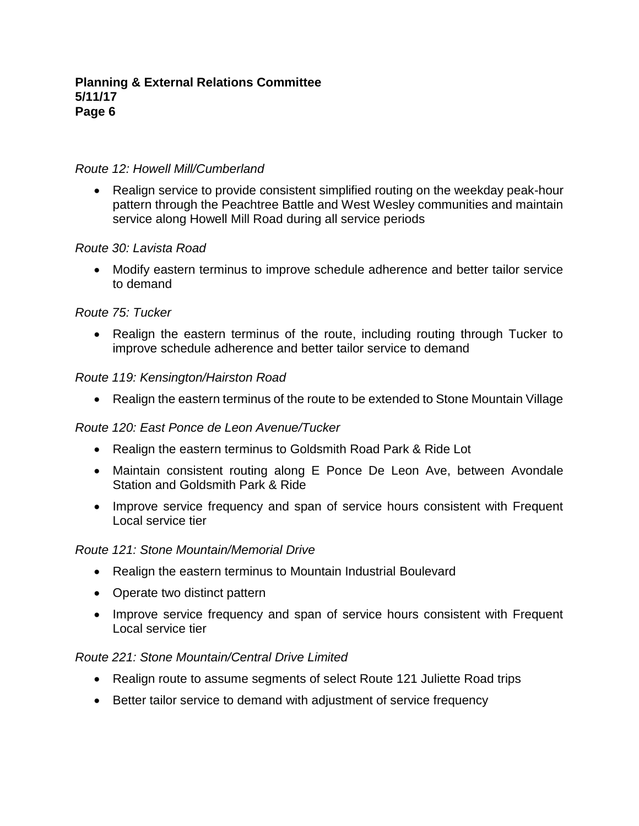#### *Route 12: Howell Mill/Cumberland*

• Realign service to provide consistent simplified routing on the weekday peak-hour pattern through the Peachtree Battle and West Wesley communities and maintain service along Howell Mill Road during all service periods

## *Route 30: Lavista Road*

• Modify eastern terminus to improve schedule adherence and better tailor service to demand

## *Route 75: Tucker*

• Realign the eastern terminus of the route, including routing through Tucker to improve schedule adherence and better tailor service to demand

#### *Route 119: Kensington/Hairston Road*

• Realign the eastern terminus of the route to be extended to Stone Mountain Village

## *Route 120: East Ponce de Leon Avenue/Tucker*

- Realign the eastern terminus to Goldsmith Road Park & Ride Lot
- Maintain consistent routing along E Ponce De Leon Ave, between Avondale Station and Goldsmith Park & Ride
- Improve service frequency and span of service hours consistent with Frequent Local service tier

#### *Route 121: Stone Mountain/Memorial Drive*

- Realign the eastern terminus to Mountain Industrial Boulevard
- Operate two distinct pattern
- Improve service frequency and span of service hours consistent with Frequent Local service tier

#### *Route 221: Stone Mountain/Central Drive Limited*

- Realign route to assume segments of select Route 121 Juliette Road trips
- Better tailor service to demand with adjustment of service frequency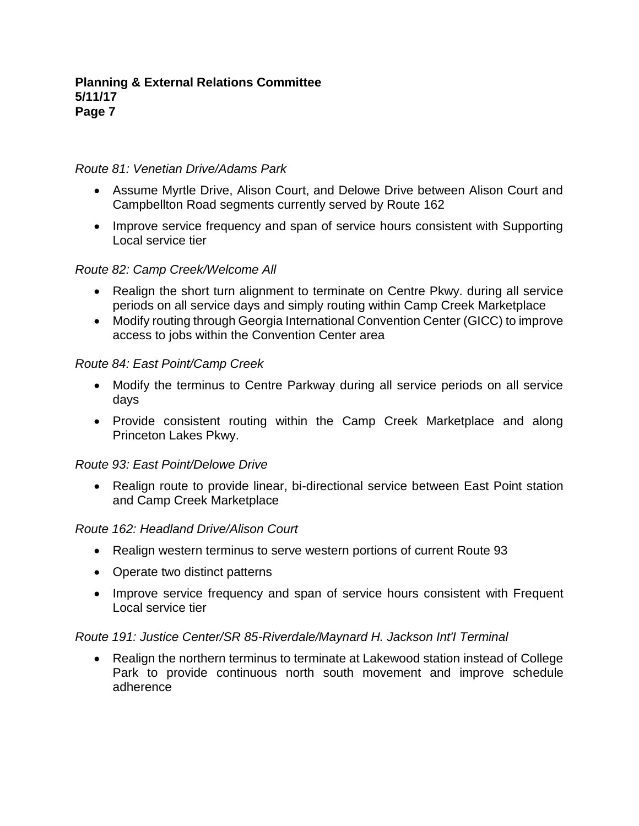## *Route 81: Venetian Drive/Adams Park*

- Assume Myrtle Drive, Alison Court, and Delowe Drive between Alison Court and Campbellton Road segments currently served by Route 162
- Improve service frequency and span of service hours consistent with Supporting Local service tier

## *Route 82: Camp Creek/Welcome All*

- Realign the short turn alignment to terminate on Centre Pkwy. during all service periods on all service days and simply routing within Camp Creek Marketplace
- Modify routing through Georgia International Convention Center (GICC) to improve access to jobs within the Convention Center area

## *Route 84: East Point/Camp Creek*

- Modify the terminus to Centre Parkway during all service periods on all service days
- Provide consistent routing within the Camp Creek Marketplace and along Princeton Lakes Pkwy.

# *Route 93: East Point/Delowe Drive*

• Realign route to provide linear, bi-directional service between East Point station and Camp Creek Marketplace

## *Route 162: Headland Drive/Alison Court*

- Realign western terminus to serve western portions of current Route 93
- Operate two distinct patterns
- Improve service frequency and span of service hours consistent with Frequent Local service tier

## *Route 191: Justice Center/SR 85-Riverdale/Maynard H. Jackson Int'I Terminal*

• Realign the northern terminus to terminate at Lakewood station instead of College Park to provide continuous north south movement and improve schedule adherence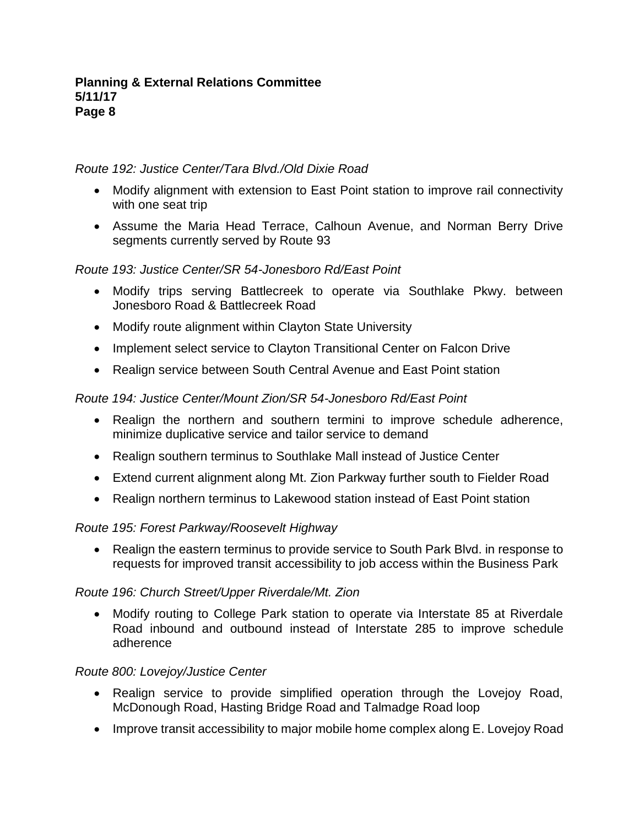## *Route 192: Justice Center/Tara Blvd./Old Dixie Road*

- Modify alignment with extension to East Point station to improve rail connectivity with one seat trip
- Assume the Maria Head Terrace, Calhoun Avenue, and Norman Berry Drive segments currently served by Route 93

# *Route 193: Justice Center/SR 54-Jonesboro Rd/East Point*

- Modify trips serving Battlecreek to operate via Southlake Pkwy. between Jonesboro Road & Battlecreek Road
- Modify route alignment within Clayton State University
- Implement select service to Clayton Transitional Center on Falcon Drive
- Realign service between South Central Avenue and East Point station

# *Route 194: Justice Center/Mount Zion/SR 54-Jonesboro Rd/East Point*

- Realign the northern and southern termini to improve schedule adherence, minimize duplicative service and tailor service to demand
- Realign southern terminus to Southlake Mall instead of Justice Center
- Extend current alignment along Mt. Zion Parkway further south to Fielder Road
- Realign northern terminus to Lakewood station instead of East Point station

# *Route 195: Forest Parkway/Roosevelt Highway*

• Realign the eastern terminus to provide service to South Park Blvd. in response to requests for improved transit accessibility to job access within the Business Park

# *Route 196: Church Street/Upper Riverdale/Mt. Zion*

• Modify routing to College Park station to operate via Interstate 85 at Riverdale Road inbound and outbound instead of Interstate 285 to improve schedule adherence

# *Route 800: Lovejoy/Justice Center*

- Realign service to provide simplified operation through the Lovejoy Road, McDonough Road, Hasting Bridge Road and Talmadge Road loop
- Improve transit accessibility to major mobile home complex along E. Lovejoy Road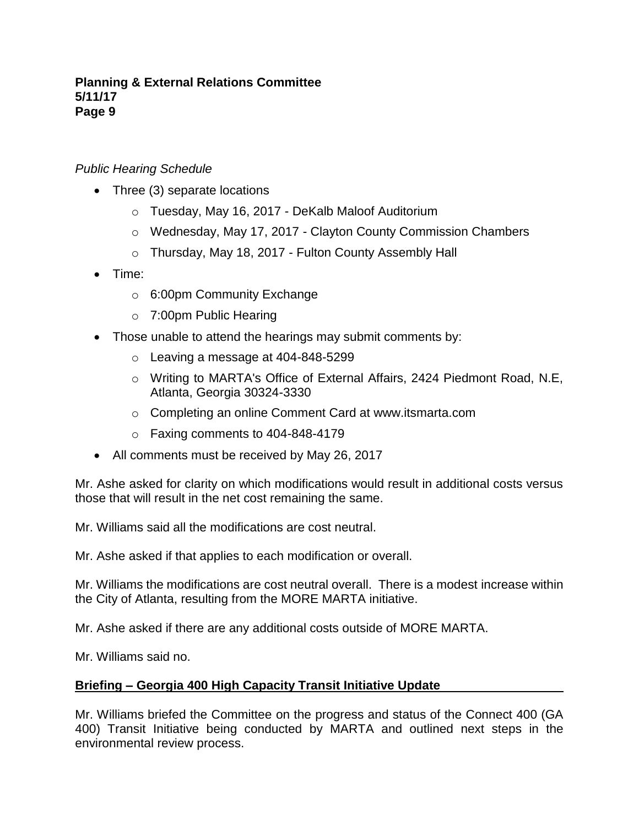## *Public Hearing Schedule*

- Three (3) separate locations
	- o Tuesday, May 16, 2017 DeKalb Maloof Auditorium
	- o Wednesday, May 17, 2017 Clayton County Commission Chambers
	- o Thursday, May 18, 2017 Fulton County Assembly Hall
- Time:
	- o 6:00pm Community Exchange
	- o 7:00pm Public Hearing
- Those unable to attend the hearings may submit comments by:
	- o Leaving a message at 404-848-5299
	- o Writing to MARTA's Office of External Affairs, 2424 Piedmont Road, N.E, Atlanta, Georgia 30324-3330
	- o Completing an online Comment Card at www.itsmarta.com
	- o Faxing comments to 404-848-4179
- All comments must be received by May 26, 2017

Mr. Ashe asked for clarity on which modifications would result in additional costs versus those that will result in the net cost remaining the same.

Mr. Williams said all the modifications are cost neutral.

Mr. Ashe asked if that applies to each modification or overall.

Mr. Williams the modifications are cost neutral overall. There is a modest increase within the City of Atlanta, resulting from the MORE MARTA initiative.

Mr. Ashe asked if there are any additional costs outside of MORE MARTA.

Mr. Williams said no.

## **Briefing – Georgia 400 High Capacity Transit Initiative Update**

Mr. Williams briefed the Committee on the progress and status of the Connect 400 (GA 400) Transit Initiative being conducted by MARTA and outlined next steps in the environmental review process.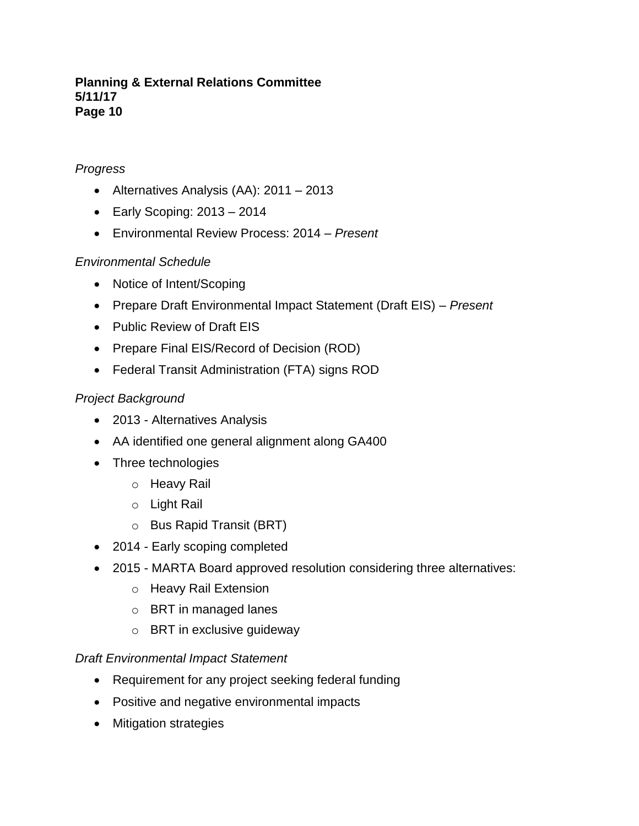## *Progress*

- Alternatives Analysis (AA): 2011 2013
- Early Scoping: 2013 2014
- Environmental Review Process: 2014 *Present*

# *Environmental Schedule*

- Notice of Intent/Scoping
- Prepare Draft Environmental Impact Statement (Draft EIS) *Present*
- Public Review of Draft EIS
- Prepare Final EIS/Record of Decision (ROD)
- Federal Transit Administration (FTA) signs ROD

# *Project Background*

- 2013 Alternatives Analysis
- AA identified one general alignment along GA400
- Three technologies
	- o Heavy Rail
	- o Light Rail
	- o Bus Rapid Transit (BRT)
- 2014 Early scoping completed
- 2015 MARTA Board approved resolution considering three alternatives:
	- o Heavy Rail Extension
	- o BRT in managed lanes
	- o BRT in exclusive guideway

# *Draft Environmental Impact Statement*

- Requirement for any project seeking federal funding
- Positive and negative environmental impacts
- Mitigation strategies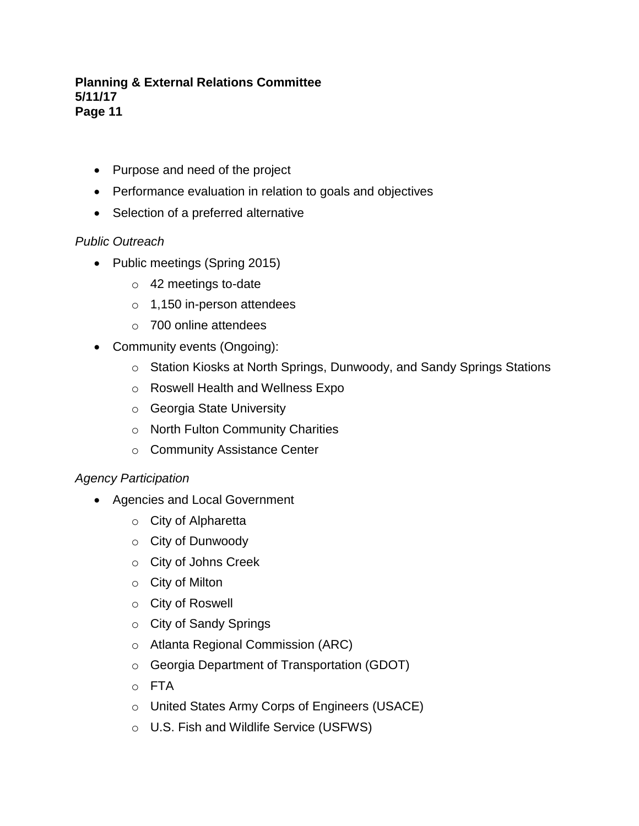- Purpose and need of the project
- Performance evaluation in relation to goals and objectives
- Selection of a preferred alternative

# *Public Outreach*

- Public meetings (Spring 2015)
	- o 42 meetings to-date
	- $\circ$  1,150 in-person attendees
	- o 700 online attendees
- Community events (Ongoing):
	- o Station Kiosks at North Springs, Dunwoody, and Sandy Springs Stations
	- o Roswell Health and Wellness Expo
	- o Georgia State University
	- o North Fulton Community Charities
	- o Community Assistance Center

# *Agency Participation*

- Agencies and Local Government
	- o City of Alpharetta
	- o City of Dunwoody
	- o City of Johns Creek
	- o City of Milton
	- o City of Roswell
	- o City of Sandy Springs
	- o Atlanta Regional Commission (ARC)
	- o Georgia Department of Transportation (GDOT)
	- o FTA
	- o United States Army Corps of Engineers (USACE)
	- o U.S. Fish and Wildlife Service (USFWS)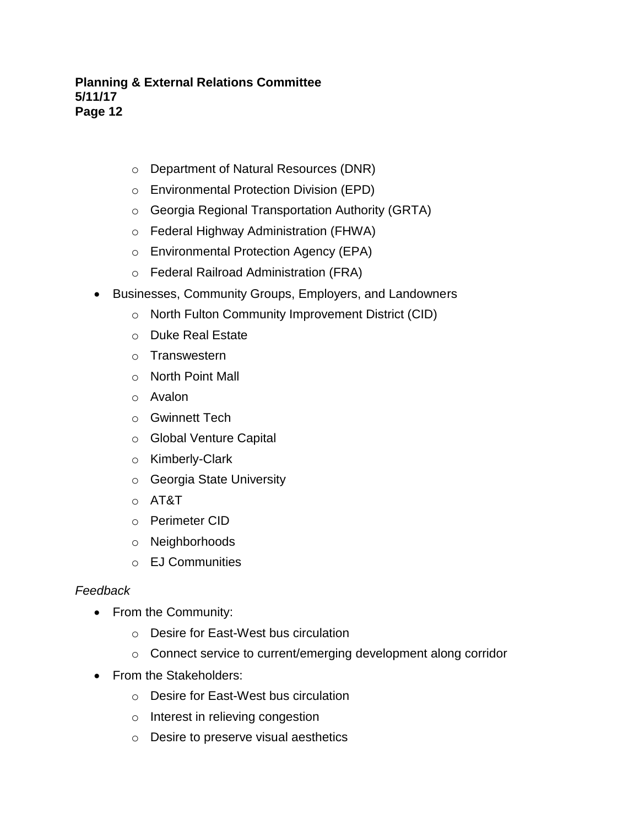- o Department of Natural Resources (DNR)
- o Environmental Protection Division (EPD)
- o Georgia Regional Transportation Authority (GRTA)
- o Federal Highway Administration (FHWA)
- o Environmental Protection Agency (EPA)
- o Federal Railroad Administration (FRA)
- Businesses, Community Groups, Employers, and Landowners
	- o North Fulton Community Improvement District (CID)
	- o Duke Real Estate
	- o Transwestern
	- o North Point Mall
	- o Avalon
	- o Gwinnett Tech
	- o Global Venture Capital
	- o Kimberly-Clark
	- o Georgia State University
	- o AT&T
	- o Perimeter CID
	- o Neighborhoods
	- o EJ Communities

# *Feedback*

- From the Community:
	- o Desire for East-West bus circulation
	- o Connect service to current/emerging development along corridor
- From the Stakeholders:
	- o Desire for East-West bus circulation
	- o Interest in relieving congestion
	- o Desire to preserve visual aesthetics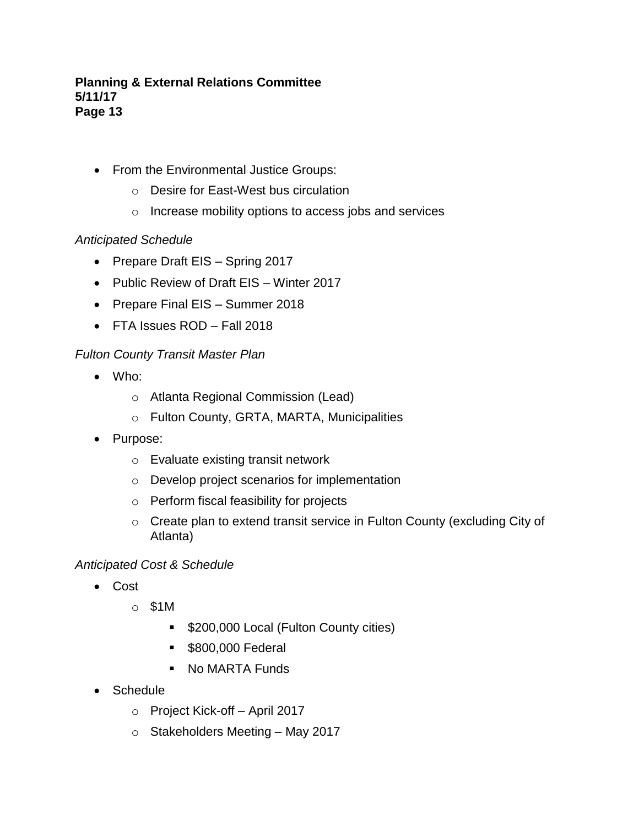- From the Environmental Justice Groups:
	- o Desire for East-West bus circulation
	- o Increase mobility options to access jobs and services

## *Anticipated Schedule*

- Prepare Draft EIS Spring 2017
- Public Review of Draft EIS Winter 2017
- Prepare Final EIS Summer 2018
- FTA Issues ROD Fall 2018

## *Fulton County Transit Master Plan*

- Who:
	- o Atlanta Regional Commission (Lead)
	- o Fulton County, GRTA, MARTA, Municipalities
- Purpose:
	- o Evaluate existing transit network
	- o Develop project scenarios for implementation
	- o Perform fiscal feasibility for projects
	- o Create plan to extend transit service in Fulton County (excluding City of Atlanta)

## *Anticipated Cost & Schedule*

- Cost
	- o \$1M
		- \$200,000 Local (Fulton County cities)
		- **\$800,000 Federal**
		- No MARTA Funds
- Schedule
	- o Project Kick-off April 2017
	- o Stakeholders Meeting May 2017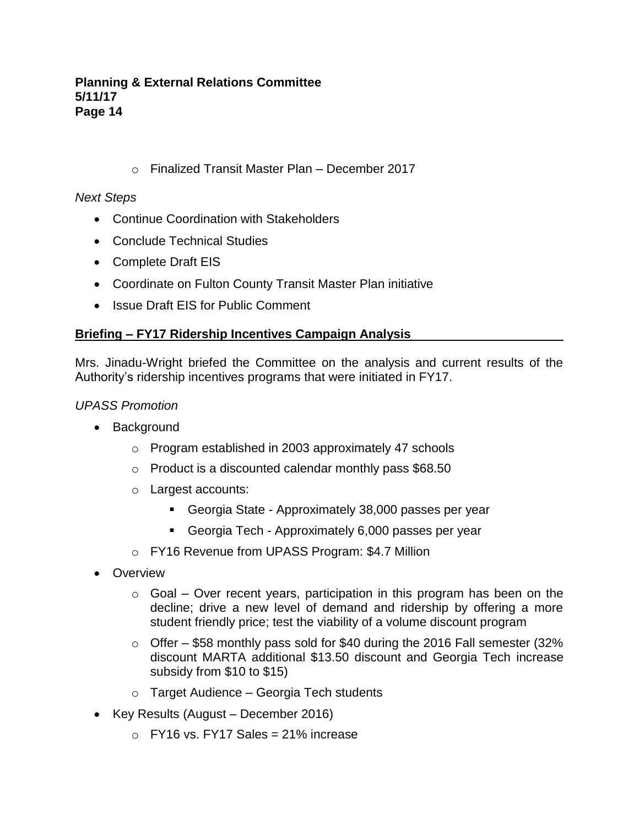o Finalized Transit Master Plan – December 2017

# *Next Steps*

- Continue Coordination with Stakeholders
- Conclude Technical Studies
- Complete Draft EIS
- Coordinate on Fulton County Transit Master Plan initiative
- Issue Draft EIS for Public Comment

# **Briefing – FY17 Ridership Incentives Campaign Analysis**

Mrs. Jinadu-Wright briefed the Committee on the analysis and current results of the Authority's ridership incentives programs that were initiated in FY17.

## *UPASS Promotion*

- Background
	- o Program established in 2003 approximately 47 schools
	- o Product is a discounted calendar monthly pass \$68.50
	- o Largest accounts:
		- Georgia State Approximately 38,000 passes per year
		- Georgia Tech Approximately 6,000 passes per year
	- o FY16 Revenue from UPASS Program: \$4.7 Million
- Overview
	- $\circ$  Goal Over recent years, participation in this program has been on the decline; drive a new level of demand and ridership by offering a more student friendly price; test the viability of a volume discount program
	- $\circ$  Offer \$58 monthly pass sold for \$40 during the 2016 Fall semester (32% discount MARTA additional \$13.50 discount and Georgia Tech increase subsidy from \$10 to \$15)
	- o Target Audience Georgia Tech students
- Key Results (August December 2016)
	- $\circ$  FY16 vs. FY17 Sales = 21% increase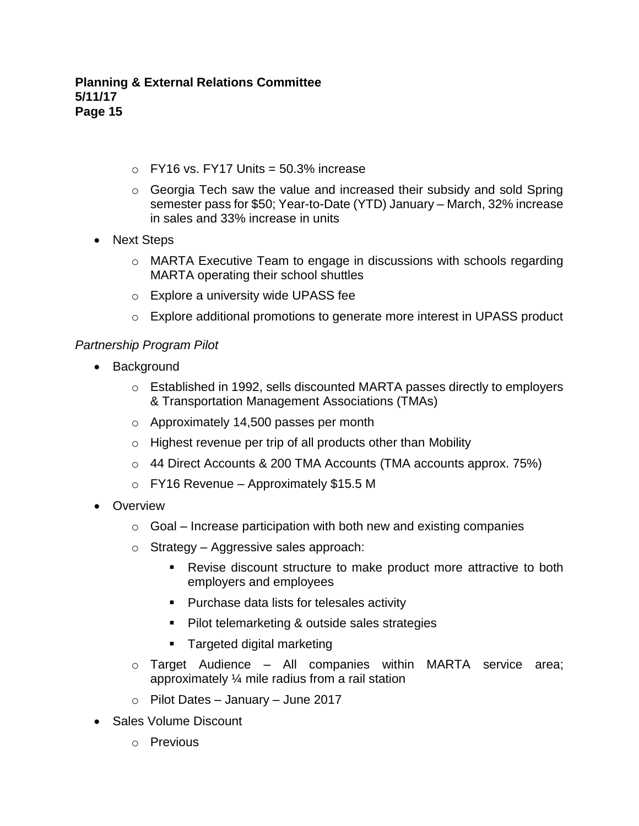- $\circ$  FY16 vs. FY17 Units = 50.3% increase
- o Georgia Tech saw the value and increased their subsidy and sold Spring semester pass for \$50; Year-to-Date (YTD) January – March, 32% increase in sales and 33% increase in units
- Next Steps
	- $\circ$  MARTA Executive Team to engage in discussions with schools regarding MARTA operating their school shuttles
	- o Explore a university wide UPASS fee
	- $\circ$  Explore additional promotions to generate more interest in UPASS product

## *Partnership Program Pilot*

- Background
	- o Established in 1992, sells discounted MARTA passes directly to employers & Transportation Management Associations (TMAs)
	- o Approximately 14,500 passes per month
	- $\circ$  Highest revenue per trip of all products other than Mobility
	- o 44 Direct Accounts & 200 TMA Accounts (TMA accounts approx. 75%)
	- o FY16 Revenue Approximately \$15.5 M
- Overview
	- $\circ$  Goal Increase participation with both new and existing companies
	- o Strategy Aggressive sales approach:
		- Revise discount structure to make product more attractive to both employers and employees
		- Purchase data lists for telesales activity
		- Pilot telemarketing & outside sales strategies
		- Targeted digital marketing
	- o Target Audience All companies within MARTA service area; approximately ¼ mile radius from a rail station
	- $\circ$  Pilot Dates January June 2017
- Sales Volume Discount
	- o Previous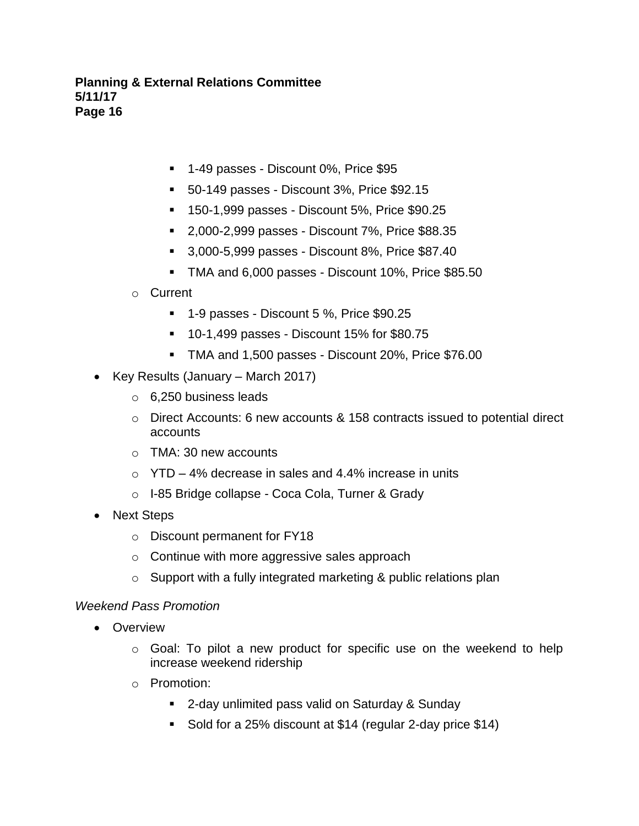- 1-49 passes Discount 0%, Price \$95
- 50-149 passes Discount 3%, Price \$92.15
- 150-1,999 passes Discount 5%, Price \$90.25
- 2,000-2,999 passes Discount 7%, Price \$88.35
- 3,000-5,999 passes Discount 8%, Price \$87.40
- TMA and 6,000 passes Discount 10%, Price \$85.50
- o Current
	- 1-9 passes Discount 5 %, Price \$90.25
	- 10-1,499 passes Discount 15% for \$80.75
	- TMA and 1,500 passes Discount 20%, Price \$76.00
- Key Results (January March 2017)
	- o 6,250 business leads
	- o Direct Accounts: 6 new accounts & 158 contracts issued to potential direct accounts
	- o TMA: 30 new accounts
	- $\circ$  YTD 4% decrease in sales and 4.4% increase in units
	- o I-85 Bridge collapse Coca Cola, Turner & Grady
- Next Steps
	- o Discount permanent for FY18
	- o Continue with more aggressive sales approach
	- $\circ$  Support with a fully integrated marketing & public relations plan

## *Weekend Pass Promotion*

- Overview
	- o Goal: To pilot a new product for specific use on the weekend to help increase weekend ridership
	- o Promotion:
		- 2-day unlimited pass valid on Saturday & Sunday
		- Sold for a 25% discount at \$14 (regular 2-day price \$14)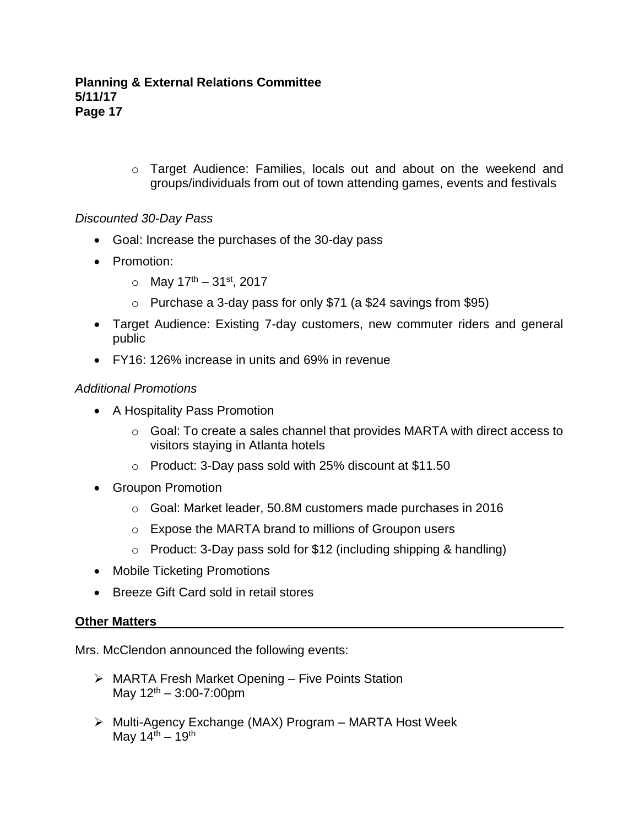o Target Audience: Families, locals out and about on the weekend and groups/individuals from out of town attending games, events and festivals

## *Discounted 30-Day Pass*

- Goal: Increase the purchases of the 30-day pass
- Promotion:
	- $\circ$  May 17<sup>th</sup> 31<sup>st</sup>, 2017
	- o Purchase a 3-day pass for only \$71 (a \$24 savings from \$95)
- Target Audience: Existing 7-day customers, new commuter riders and general public
- FY16: 126% increase in units and 69% in revenue

## *Additional Promotions*

- A Hospitality Pass Promotion
	- o Goal: To create a sales channel that provides MARTA with direct access to visitors staying in Atlanta hotels
	- o Product: 3-Day pass sold with 25% discount at \$11.50
- Groupon Promotion
	- o Goal: Market leader, 50.8M customers made purchases in 2016
	- o Expose the MARTA brand to millions of Groupon users
	- $\circ$  Product: 3-Day pass sold for \$12 (including shipping & handling)
- Mobile Ticketing Promotions
- Breeze Gift Card sold in retail stores

## **Other Matters**

Mrs. McClendon announced the following events:

- ➢ MARTA Fresh Market Opening Five Points Station May  $12^{th} - 3:00 - 7:00$ pm
- ➢ Multi-Agency Exchange (MAX) Program MARTA Host Week May  $14^{\text{th}} - 19^{\text{th}}$